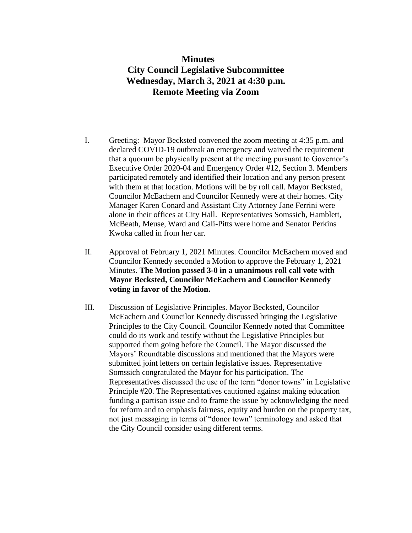## **Minutes City Council Legislative Subcommittee Wednesday, March 3, 2021 at 4:30 p.m. Remote Meeting via Zoom**

- I. Greeting: Mayor Becksted convened the zoom meeting at 4:35 p.m. and declared COVID-19 outbreak an emergency and waived the requirement that a quorum be physically present at the meeting pursuant to Governor's Executive Order 2020-04 and Emergency Order #12, Section 3. Members participated remotely and identified their location and any person present with them at that location. Motions will be by roll call. Mayor Becksted, Councilor McEachern and Councilor Kennedy were at their homes. City Manager Karen Conard and Assistant City Attorney Jane Ferrini were alone in their offices at City Hall. Representatives Somssich, Hamblett, McBeath, Meuse, Ward and Cali-Pitts were home and Senator Perkins Kwoka called in from her car.
- II. Approval of February 1, 2021 Minutes. Councilor McEachern moved and Councilor Kennedy seconded a Motion to approve the February 1, 2021 Minutes. **The Motion passed 3-0 in a unanimous roll call vote with Mayor Becksted, Councilor McEachern and Councilor Kennedy voting in favor of the Motion.**
- III. Discussion of Legislative Principles. Mayor Becksted, Councilor McEachern and Councilor Kennedy discussed bringing the Legislative Principles to the City Council. Councilor Kennedy noted that Committee could do its work and testify without the Legislative Principles but supported them going before the Council. The Mayor discussed the Mayors' Roundtable discussions and mentioned that the Mayors were submitted joint letters on certain legislative issues. Representative Somssich congratulated the Mayor for his participation. The Representatives discussed the use of the term "donor towns" in Legislative Principle #20. The Representatives cautioned against making education funding a partisan issue and to frame the issue by acknowledging the need for reform and to emphasis fairness, equity and burden on the property tax, not just messaging in terms of "donor town" terminology and asked that the City Council consider using different terms.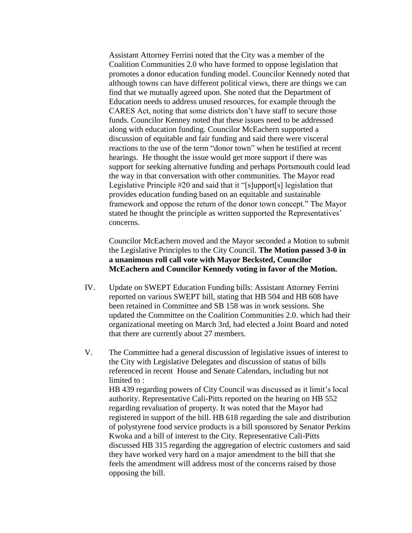Assistant Attorney Ferrini noted that the City was a member of the Coalition Communities 2.0 who have formed to oppose legislation that promotes a donor education funding model. Councilor Kennedy noted that although towns can have different political views, there are things we can find that we mutually agreed upon. She noted that the Department of Education needs to address unused resources, for example through the CARES Act, noting that some districts don't have staff to secure those funds. Councilor Kenney noted that these issues need to be addressed along with education funding. Councilor McEachern supported a discussion of equitable and fair funding and said there were visceral reactions to the use of the term "donor town" when he testified at recent hearings. He thought the issue would get more support if there was support for seeking alternative funding and perhaps Portsmouth could lead the way in that conversation with other communities. The Mayor read Legislative Principle #20 and said that it "[s]upport[s] legislation that provides education funding based on an equitable and sustainable framework and oppose the return of the donor town concept." The Mayor stated he thought the principle as written supported the Representatives' concerns.

Councilor McEachern moved and the Mayor seconded a Motion to submit the Legislative Principles to the City Council. **The Motion passed 3-0 in a unanimous roll call vote with Mayor Becksted, Councilor McEachern and Councilor Kennedy voting in favor of the Motion.**

- IV. Update on SWEPT Education Funding bills: Assistant Attorney Ferrini reported on various SWEPT bill, stating that HB 504 and HB 608 have been retained in Committee and SB 158 was in work sessions. She updated the Committee on the Coalition Communities 2.0. which had their organizational meeting on March 3rd, had elected a Joint Board and noted that there are currently about 27 members.
- V. The Committee had a general discussion of legislative issues of interest to the City with Legislative Delegates and discussion of status of bills referenced in recent House and Senate Calendars, including but not limited to : HB 439 regarding powers of City Council was discussed as it limit's local authority. Representative Cali-Pitts reported on the hearing on HB 552 regarding revaluation of property. It was noted that the Mayor had registered in support of the bill. HB 618 regarding the sale and distribution of polystyrene food service products is a bill sponsored by Senator Perkins Kwoka and a bill of interest to the City. Representative Cali-Pitts discussed HB 315 regarding the aggregation of electric customers and said they have worked very hard on a major amendment to the bill that she feels the amendment will address most of the concerns raised by those opposing the bill.